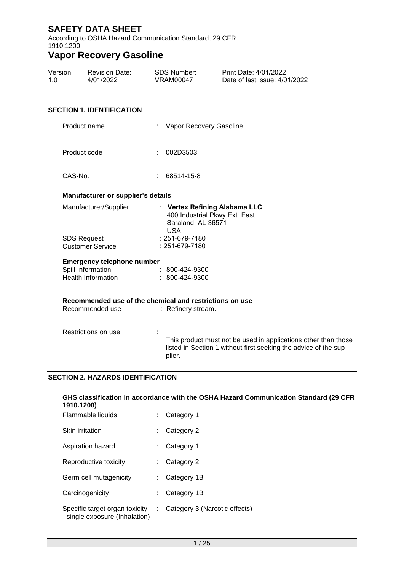According to OSHA Hazard Communication Standard, 29 CFR 1910.1200

# **Vapor Recovery Gasoline**

| Version | <b>Revision Date:</b> | SDS Number: | Print Date: 4/01/2022         |
|---------|-----------------------|-------------|-------------------------------|
| 1.0     | 4/01/2022             | VRAM00047   | Date of last issue: 4/01/2022 |

### **SECTION 1. IDENTIFICATION**

| Product name                                            | Vapor Recovery Gasoline                                                                                                                      |
|---------------------------------------------------------|----------------------------------------------------------------------------------------------------------------------------------------------|
| Product code                                            | 002D3503                                                                                                                                     |
| CAS-No.                                                 | 68514-15-8                                                                                                                                   |
| <b>Manufacturer or supplier's details</b>               |                                                                                                                                              |
| Manufacturer/Supplier                                   | : Vertex Refining Alabama LLC<br>400 Industrial Pkwy Ext. East<br>Saraland, AL 36571<br><b>USA</b>                                           |
| <b>SDS Request</b>                                      | : 251-679-7180                                                                                                                               |
| <b>Customer Service</b>                                 | $: 251 - 679 - 7180$                                                                                                                         |
| <b>Emergency telephone number</b>                       |                                                                                                                                              |
| Spill Information                                       | $\approx 800\text{-}424\text{-}9300$                                                                                                         |
| <b>Health Information</b>                               | : 800-424-9300                                                                                                                               |
|                                                         |                                                                                                                                              |
| Recommended use of the chemical and restrictions on use |                                                                                                                                              |
| Recommended use                                         | : Refinery stream.                                                                                                                           |
|                                                         |                                                                                                                                              |
| Restrictions on use                                     |                                                                                                                                              |
|                                                         | This product must not be used in applications other than those<br>listed in Section 1 without first seeking the advice of the sup-<br>plier. |

### **SECTION 2. HAZARDS IDENTIFICATION**

| GHS classification in accordance with the OSHA Hazard Communication Standard (29 CFR<br>1910.1200) |    |                               |  |  |
|----------------------------------------------------------------------------------------------------|----|-------------------------------|--|--|
| Flammable liquids                                                                                  |    | Category 1                    |  |  |
| Skin irritation                                                                                    |    | Category 2                    |  |  |
| Aspiration hazard                                                                                  |    | Category 1                    |  |  |
| Reproductive toxicity                                                                              |    | Category 2                    |  |  |
| Germ cell mutagenicity                                                                             |    | Category 1B                   |  |  |
| Carcinogenicity                                                                                    |    | Category 1B                   |  |  |
| Specific target organ toxicity<br>- single exposure (Inhalation)                                   | ÷. | Category 3 (Narcotic effects) |  |  |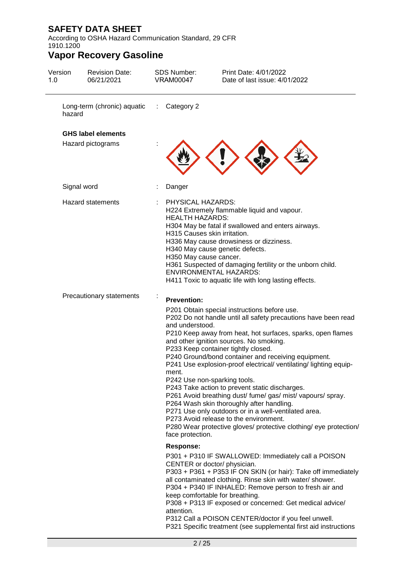According to OSHA Hazard Communication Standard, 29 CFR 1910.1200

| Version<br>1.0 | <b>Revision Date:</b><br>06/21/2021 | <b>SDS Number:</b><br><b>VRAM00047</b>                                                                | Print Date: 4/01/2022<br>Date of last issue: 4/01/2022                                                                                                                                                                                                                                                                                                                                                                                                                                                                                                                                                                                                                                                                                                           |
|----------------|-------------------------------------|-------------------------------------------------------------------------------------------------------|------------------------------------------------------------------------------------------------------------------------------------------------------------------------------------------------------------------------------------------------------------------------------------------------------------------------------------------------------------------------------------------------------------------------------------------------------------------------------------------------------------------------------------------------------------------------------------------------------------------------------------------------------------------------------------------------------------------------------------------------------------------|
| hazard         | Long-term (chronic) aquatic         | Category 2<br>$\sim 100$                                                                              |                                                                                                                                                                                                                                                                                                                                                                                                                                                                                                                                                                                                                                                                                                                                                                  |
|                | <b>GHS label elements</b>           |                                                                                                       |                                                                                                                                                                                                                                                                                                                                                                                                                                                                                                                                                                                                                                                                                                                                                                  |
|                | Hazard pictograms                   |                                                                                                       |                                                                                                                                                                                                                                                                                                                                                                                                                                                                                                                                                                                                                                                                                                                                                                  |
|                | Signal word                         | Danger                                                                                                |                                                                                                                                                                                                                                                                                                                                                                                                                                                                                                                                                                                                                                                                                                                                                                  |
|                | <b>Hazard statements</b>            | PHYSICAL HAZARDS:<br><b>HEALTH HAZARDS:</b><br>H315 Causes skin irritation.<br>H350 May cause cancer. | H224 Extremely flammable liquid and vapour.<br>H304 May be fatal if swallowed and enters airways.<br>H336 May cause drowsiness or dizziness.<br>H340 May cause genetic defects.<br>H361 Suspected of damaging fertility or the unborn child.<br><b>ENVIRONMENTAL HAZARDS:</b><br>H411 Toxic to aquatic life with long lasting effects.                                                                                                                                                                                                                                                                                                                                                                                                                           |
|                | Precautionary statements            | <b>Prevention:</b><br>and understood.<br>ment.<br>face protection.                                    | P201 Obtain special instructions before use.<br>P202 Do not handle until all safety precautions have been read<br>P210 Keep away from heat, hot surfaces, sparks, open flames<br>and other ignition sources. No smoking.<br>P233 Keep container tightly closed.<br>P240 Ground/bond container and receiving equipment.<br>P241 Use explosion-proof electrical/ ventilating/ lighting equip-<br>P242 Use non-sparking tools.<br>P243 Take action to prevent static discharges.<br>P261 Avoid breathing dust/ fume/ gas/ mist/ vapours/ spray.<br>P264 Wash skin thoroughly after handling.<br>P271 Use only outdoors or in a well-ventilated area.<br>P273 Avoid release to the environment.<br>P280 Wear protective gloves/ protective clothing/ eye protection/ |
|                |                                     | <b>Response:</b><br>attention.                                                                        | P301 + P310 IF SWALLOWED: Immediately call a POISON<br>CENTER or doctor/ physician.<br>P303 + P361 + P353 IF ON SKIN (or hair): Take off immediately<br>all contaminated clothing. Rinse skin with water/ shower.<br>P304 + P340 IF INHALED: Remove person to fresh air and<br>keep comfortable for breathing.<br>P308 + P313 IF exposed or concerned: Get medical advice/<br>P312 Call a POISON CENTER/doctor if you feel unwell.<br>P321 Specific treatment (see supplemental first aid instructions                                                                                                                                                                                                                                                           |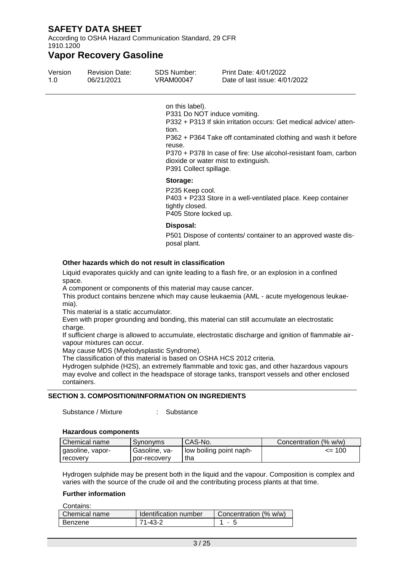According to OSHA Hazard Communication Standard, 29 CFR 1910.1200

### **Vapor Recovery Gasoline**

| Version | <b>Revision Date:</b> | SDS Number: | Print Date: 4/01/2022         |
|---------|-----------------------|-------------|-------------------------------|
| 1.0     | 06/21/2021            | VRAM00047   | Date of last issue: 4/01/2022 |

on this label).

P331 Do NOT induce vomiting.

P332 + P313 If skin irritation occurs: Get medical advice/ attention.

P362 + P364 Take off contaminated clothing and wash it before reuse.

P370 + P378 In case of fire: Use alcohol-resistant foam, carbon dioxide or water mist to extinguish.

P391 Collect spillage.

#### **Storage:**

P235 Keep cool. P403 + P233 Store in a well-ventilated place. Keep container tightly closed. P405 Store locked up.

#### **Disposal:**

P501 Dispose of contents/ container to an approved waste disposal plant.

### **Other hazards which do not result in classification**

Liquid evaporates quickly and can ignite leading to a flash fire, or an explosion in a confined space.

A component or components of this material may cause cancer.

This product contains benzene which may cause leukaemia (AML - acute myelogenous leukaemia).

This material is a static accumulator.

Even with proper grounding and bonding, this material can still accumulate an electrostatic charge.

If sufficient charge is allowed to accumulate, electrostatic discharge and ignition of flammable airvapour mixtures can occur.

May cause MDS (Myelodysplastic Syndrome).

The classification of this material is based on OSHA HCS 2012 criteria.

Hydrogen sulphide (H2S), an extremely flammable and toxic gas, and other hazardous vapours may evolve and collect in the headspace of storage tanks, transport vessels and other enclosed containers.

### **SECTION 3. COMPOSITION/INFORMATION ON INGREDIENTS**

Substance / Mixture : Substance

#### **Hazardous components**

| Chemical name    | Synonyms      | CAS-No.                 | Concentration (% w/w) |
|------------------|---------------|-------------------------|-----------------------|
| gasoline, vapor- | Gasoline, va- | low boiling point naph- | $\leq$ 100            |
| recovery         | por-recovery  | tha                     |                       |

Hydrogen sulphide may be present both in the liquid and the vapour. Composition is complex and varies with the source of the crude oil and the contributing process plants at that time.

#### **Further information**

Contains: Chemical name | Identification number | Concentration (% w/w) Benzene 71-43-2 1 - 5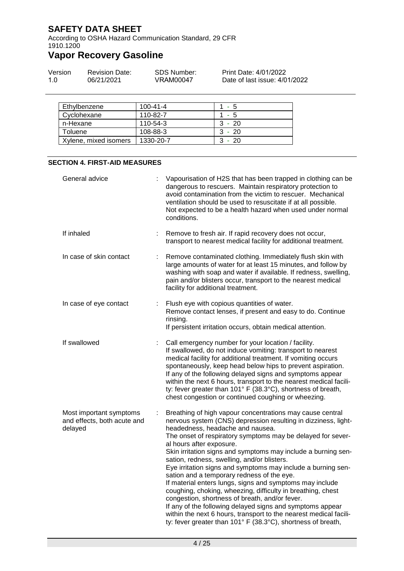According to OSHA Hazard Communication Standard, 29 CFR 1910.1200

# **Vapor Recovery Gasoline**

| Version | <b>Revision Date:</b> | SDS Number: | Print Date: 4/01/2022         |
|---------|-----------------------|-------------|-------------------------------|
| 1.0     | 06/21/2021            | VRAM00047   | Date of last issue: 4/01/2022 |

| Ethylbenzene          | 100-41-4  | $1 - 5$  |
|-----------------------|-----------|----------|
| Cyclohexane           | 110-82-7  | 1 - 5    |
| n-Hexane              | 110-54-3  | $3 - 20$ |
| Toluene               | 108-88-3  | $3 - 20$ |
| Xylene, mixed isomers | 1330-20-7 | $3 - 20$ |

### **SECTION 4. FIRST-AID MEASURES**

| General advice                                                    |    | Vapourisation of H2S that has been trapped in clothing can be<br>dangerous to rescuers. Maintain respiratory protection to<br>avoid contamination from the victim to rescuer. Mechanical<br>ventilation should be used to resuscitate if at all possible.<br>Not expected to be a health hazard when used under normal<br>conditions.                                                                                                                                                                                                                                                                                                                                                                                                                                                                                                                                   |
|-------------------------------------------------------------------|----|-------------------------------------------------------------------------------------------------------------------------------------------------------------------------------------------------------------------------------------------------------------------------------------------------------------------------------------------------------------------------------------------------------------------------------------------------------------------------------------------------------------------------------------------------------------------------------------------------------------------------------------------------------------------------------------------------------------------------------------------------------------------------------------------------------------------------------------------------------------------------|
| If inhaled                                                        | ÷  | Remove to fresh air. If rapid recovery does not occur,<br>transport to nearest medical facility for additional treatment.                                                                                                                                                                                                                                                                                                                                                                                                                                                                                                                                                                                                                                                                                                                                               |
| In case of skin contact                                           | ÷  | Remove contaminated clothing. Immediately flush skin with<br>large amounts of water for at least 15 minutes, and follow by<br>washing with soap and water if available. If redness, swelling,<br>pain and/or blisters occur, transport to the nearest medical<br>facility for additional treatment.                                                                                                                                                                                                                                                                                                                                                                                                                                                                                                                                                                     |
| In case of eye contact                                            | t. | Flush eye with copious quantities of water.<br>Remove contact lenses, if present and easy to do. Continue<br>rinsing.<br>If persistent irritation occurs, obtain medical attention.                                                                                                                                                                                                                                                                                                                                                                                                                                                                                                                                                                                                                                                                                     |
| If swallowed                                                      | ÷  | Call emergency number for your location / facility.<br>If swallowed, do not induce vomiting: transport to nearest<br>medical facility for additional treatment. If vomiting occurs<br>spontaneously, keep head below hips to prevent aspiration.<br>If any of the following delayed signs and symptoms appear<br>within the next 6 hours, transport to the nearest medical facili-<br>ty: fever greater than 101° F (38.3°C), shortness of breath,<br>chest congestion or continued coughing or wheezing.                                                                                                                                                                                                                                                                                                                                                               |
| Most important symptoms<br>and effects, both acute and<br>delayed | ÷  | Breathing of high vapour concentrations may cause central<br>nervous system (CNS) depression resulting in dizziness, light-<br>headedness, headache and nausea.<br>The onset of respiratory symptoms may be delayed for sever-<br>al hours after exposure.<br>Skin irritation signs and symptoms may include a burning sen-<br>sation, redness, swelling, and/or blisters.<br>Eye irritation signs and symptoms may include a burning sen-<br>sation and a temporary redness of the eye.<br>If material enters lungs, signs and symptoms may include<br>coughing, choking, wheezing, difficulty in breathing, chest<br>congestion, shortness of breath, and/or fever.<br>If any of the following delayed signs and symptoms appear<br>within the next 6 hours, transport to the nearest medical facili-<br>ty: fever greater than 101° F (38.3°C), shortness of breath, |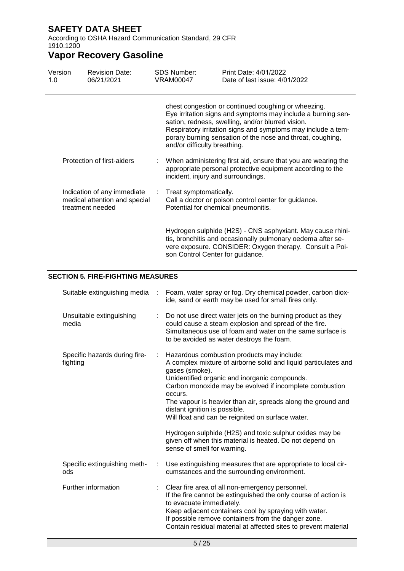According to OSHA Hazard Communication Standard, 29 CFR 1910.1200

# **Vapor Recovery Gasoline**

| Version<br>1.0 | <b>Revision Date:</b><br>06/21/2021                                              | <b>SDS Number:</b><br>VRAM00047 | Print Date: 4/01/2022<br>Date of last issue: 4/01/2022                                                                                                                                                                                                                                                 |
|----------------|----------------------------------------------------------------------------------|---------------------------------|--------------------------------------------------------------------------------------------------------------------------------------------------------------------------------------------------------------------------------------------------------------------------------------------------------|
|                |                                                                                  | and/or difficulty breathing.    | chest congestion or continued coughing or wheezing.<br>Eye irritation signs and symptoms may include a burning sen-<br>sation, redness, swelling, and/or blurred vision.<br>Respiratory irritation signs and symptoms may include a tem-<br>porary burning sensation of the nose and throat, coughing, |
|                | Protection of first-aiders                                                       |                                 | When administering first aid, ensure that you are wearing the<br>appropriate personal protective equipment according to the<br>incident, injury and surroundings.                                                                                                                                      |
|                | Indication of any immediate<br>medical attention and special<br>treatment needed | Treat symptomatically.          | Call a doctor or poison control center for guidance.<br>Potential for chemical pneumonitis.                                                                                                                                                                                                            |
|                |                                                                                  |                                 | Hydrogen sulphide (H2S) - CNS asphyxiant. May cause rhini-<br>tis, bronchitis and occasionally pulmonary oedema after se-<br>vere exposure. CONSIDER: Oxygen therapy. Consult a Poi-<br>son Control Center for guidance.                                                                               |

### **SECTION 5. FIRE-FIGHTING MEASURES**

| Suitable extinguishing media :            |    | Foam, water spray or fog. Dry chemical powder, carbon diox-<br>ide, sand or earth may be used for small fires only.                                                                                                                                                                                                                                                                                                                                                                                                                                                |
|-------------------------------------------|----|--------------------------------------------------------------------------------------------------------------------------------------------------------------------------------------------------------------------------------------------------------------------------------------------------------------------------------------------------------------------------------------------------------------------------------------------------------------------------------------------------------------------------------------------------------------------|
| Unsuitable extinguishing<br>media         |    | Do not use direct water jets on the burning product as they<br>could cause a steam explosion and spread of the fire.<br>Simultaneous use of foam and water on the same surface is<br>to be avoided as water destroys the foam.                                                                                                                                                                                                                                                                                                                                     |
| Specific hazards during fire-<br>fighting | ÷  | Hazardous combustion products may include:<br>A complex mixture of airborne solid and liquid particulates and<br>gases (smoke).<br>Unidentified organic and inorganic compounds.<br>Carbon monoxide may be evolved if incomplete combustion<br>occurs.<br>The vapour is heavier than air, spreads along the ground and<br>distant ignition is possible.<br>Will float and can be reignited on surface water.<br>Hydrogen sulphide (H2S) and toxic sulphur oxides may be<br>given off when this material is heated. Do not depend on<br>sense of smell for warning. |
| Specific extinguishing meth-<br>ods       | ÷. | Use extinguishing measures that are appropriate to local cir-<br>cumstances and the surrounding environment.                                                                                                                                                                                                                                                                                                                                                                                                                                                       |
| Further information                       |    | Clear fire area of all non-emergency personnel.<br>If the fire cannot be extinguished the only course of action is<br>to evacuate immediately.<br>Keep adjacent containers cool by spraying with water.<br>If possible remove containers from the danger zone.<br>Contain residual material at affected sites to prevent material                                                                                                                                                                                                                                  |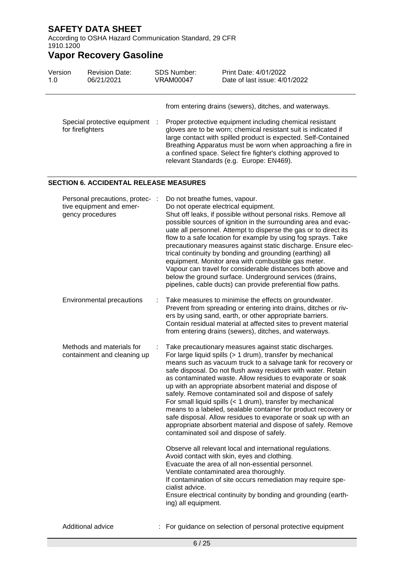According to OSHA Hazard Communication Standard, 29 CFR 1910.1200

| Version<br>1.0 | <b>Revision Date:</b><br>06/21/2021                                             |   | <b>SDS Number:</b><br><b>VRAM00047</b> | Print Date: 4/01/2022<br>Date of last issue: 4/01/2022                                                                                                                                                                                                                                                                                                                                                                                                                                                                                                                                                                                                                                                                                                                                                             |
|----------------|---------------------------------------------------------------------------------|---|----------------------------------------|--------------------------------------------------------------------------------------------------------------------------------------------------------------------------------------------------------------------------------------------------------------------------------------------------------------------------------------------------------------------------------------------------------------------------------------------------------------------------------------------------------------------------------------------------------------------------------------------------------------------------------------------------------------------------------------------------------------------------------------------------------------------------------------------------------------------|
|                |                                                                                 |   |                                        | from entering drains (sewers), ditches, and waterways.                                                                                                                                                                                                                                                                                                                                                                                                                                                                                                                                                                                                                                                                                                                                                             |
|                | Special protective equipment<br>for firefighters                                |   |                                        | Proper protective equipment including chemical resistant<br>gloves are to be worn; chemical resistant suit is indicated if<br>large contact with spilled product is expected. Self-Contained<br>Breathing Apparatus must be worn when approaching a fire in<br>a confined space. Select fire fighter's clothing approved to<br>relevant Standards (e.g. Europe: EN469).                                                                                                                                                                                                                                                                                                                                                                                                                                            |
|                | <b>SECTION 6. ACCIDENTAL RELEASE MEASURES</b>                                   |   |                                        |                                                                                                                                                                                                                                                                                                                                                                                                                                                                                                                                                                                                                                                                                                                                                                                                                    |
|                | Personal precautions, protec- :<br>tive equipment and emer-<br>gency procedures |   | Do not breathe fumes, vapour.          | Do not operate electrical equipment.<br>Shut off leaks, if possible without personal risks. Remove all<br>possible sources of ignition in the surrounding area and evac-<br>uate all personnel. Attempt to disperse the gas or to direct its<br>flow to a safe location for example by using fog sprays. Take<br>precautionary measures against static discharge. Ensure elec-<br>trical continuity by bonding and grounding (earthing) all<br>equipment. Monitor area with combustible gas meter.<br>Vapour can travel for considerable distances both above and<br>below the ground surface. Underground services (drains,<br>pipelines, cable ducts) can provide preferential flow paths.                                                                                                                       |
|                | Environmental precautions                                                       | ÷ |                                        | Take measures to minimise the effects on groundwater.<br>Prevent from spreading or entering into drains, ditches or riv-<br>ers by using sand, earth, or other appropriate barriers.<br>Contain residual material at affected sites to prevent material<br>from entering drains (sewers), ditches, and waterways.                                                                                                                                                                                                                                                                                                                                                                                                                                                                                                  |
|                | Methods and materials for<br>containment and cleaning up                        |   |                                        | Take precautionary measures against static discharges.<br>For large liquid spills (> 1 drum), transfer by mechanical<br>means such as vacuum truck to a salvage tank for recovery or<br>safe disposal. Do not flush away residues with water. Retain<br>as contaminated waste. Allow residues to evaporate or soak<br>up with an appropriate absorbent material and dispose of<br>safely. Remove contaminated soil and dispose of safely<br>For small liquid spills (< 1 drum), transfer by mechanical<br>means to a labeled, sealable container for product recovery or<br>safe disposal. Allow residues to evaporate or soak up with an<br>appropriate absorbent material and dispose of safely. Remove<br>contaminated soil and dispose of safely.<br>Observe all relevant local and international regulations. |
|                |                                                                                 |   | cialist advice.<br>ing) all equipment. | Avoid contact with skin, eyes and clothing.<br>Evacuate the area of all non-essential personnel.<br>Ventilate contaminated area thoroughly.<br>If contamination of site occurs remediation may require spe-<br>Ensure electrical continuity by bonding and grounding (earth-                                                                                                                                                                                                                                                                                                                                                                                                                                                                                                                                       |
|                | Additional advice                                                               |   |                                        | For guidance on selection of personal protective equipment                                                                                                                                                                                                                                                                                                                                                                                                                                                                                                                                                                                                                                                                                                                                                         |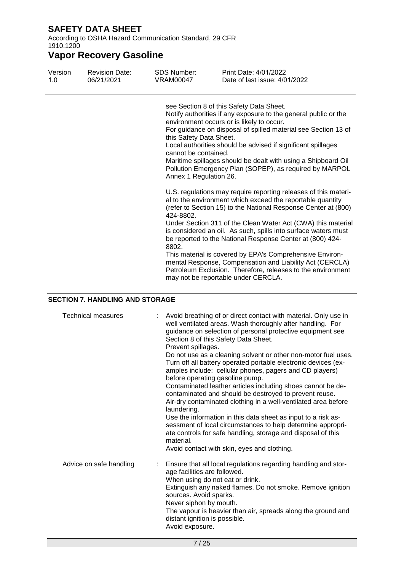According to OSHA Hazard Communication Standard, 29 CFR 1910.1200

# **Vapor Recovery Gasoline**

| Version | <b>Revision Date:</b> | <b>SDS Number:</b>                                                                              | Print Date: 4/01/2022                                                                                                                                                                                                                                                                                                                                                                                                                                                                                                                                                                                                                                                                                                                                                                                                                                                                                                                                                                                                                                  |
|---------|-----------------------|-------------------------------------------------------------------------------------------------|--------------------------------------------------------------------------------------------------------------------------------------------------------------------------------------------------------------------------------------------------------------------------------------------------------------------------------------------------------------------------------------------------------------------------------------------------------------------------------------------------------------------------------------------------------------------------------------------------------------------------------------------------------------------------------------------------------------------------------------------------------------------------------------------------------------------------------------------------------------------------------------------------------------------------------------------------------------------------------------------------------------------------------------------------------|
| 1.0     | 06/21/2021            | <b>VRAM00047</b>                                                                                | Date of last issue: 4/01/2022                                                                                                                                                                                                                                                                                                                                                                                                                                                                                                                                                                                                                                                                                                                                                                                                                                                                                                                                                                                                                          |
|         |                       | this Safety Data Sheet.<br>cannot be contained.<br>Annex 1 Regulation 26.<br>424-8802.<br>8802. | see Section 8 of this Safety Data Sheet.<br>Notify authorities if any exposure to the general public or the<br>environment occurs or is likely to occur.<br>For guidance on disposal of spilled material see Section 13 of<br>Local authorities should be advised if significant spillages<br>Maritime spillages should be dealt with using a Shipboard Oil<br>Pollution Emergency Plan (SOPEP), as required by MARPOL<br>U.S. regulations may require reporting releases of this materi-<br>al to the environment which exceed the reportable quantity<br>(refer to Section 15) to the National Response Center at (800)<br>Under Section 311 of the Clean Water Act (CWA) this material<br>is considered an oil. As such, spills into surface waters must<br>be reported to the National Response Center at (800) 424-<br>This material is covered by EPA's Comprehensive Environ-<br>mental Response, Compensation and Liability Act (CERCLA)<br>Petroleum Exclusion. Therefore, releases to the environment<br>may not be reportable under CERCLA. |

### **SECTION 7. HANDLING AND STORAGE**

| <b>Technical measures</b> | Avoid breathing of or direct contact with material. Only use in<br>well ventilated areas. Wash thoroughly after handling. For<br>guidance on selection of personal protective equipment see<br>Section 8 of this Safety Data Sheet.<br>Prevent spillages.<br>Do not use as a cleaning solvent or other non-motor fuel uses.<br>Turn off all battery operated portable electronic devices (ex-<br>amples include: cellular phones, pagers and CD players)<br>before operating gasoline pump.<br>Contaminated leather articles including shoes cannot be de-<br>contaminated and should be destroyed to prevent reuse.<br>Air-dry contaminated clothing in a well-ventilated area before<br>laundering.<br>Use the information in this data sheet as input to a risk as-<br>sessment of local circumstances to help determine appropri-<br>ate controls for safe handling, storage and disposal of this<br>material.<br>Avoid contact with skin, eyes and clothing. |
|---------------------------|-------------------------------------------------------------------------------------------------------------------------------------------------------------------------------------------------------------------------------------------------------------------------------------------------------------------------------------------------------------------------------------------------------------------------------------------------------------------------------------------------------------------------------------------------------------------------------------------------------------------------------------------------------------------------------------------------------------------------------------------------------------------------------------------------------------------------------------------------------------------------------------------------------------------------------------------------------------------|
| Advice on safe handling   | : Ensure that all local regulations regarding handling and stor-<br>age facilities are followed.<br>When using do not eat or drink.<br>Extinguish any naked flames. Do not smoke. Remove ignition<br>sources. Avoid sparks.<br>Never siphon by mouth.<br>The vapour is heavier than air, spreads along the ground and<br>distant ignition is possible.<br>Avoid exposure.                                                                                                                                                                                                                                                                                                                                                                                                                                                                                                                                                                                         |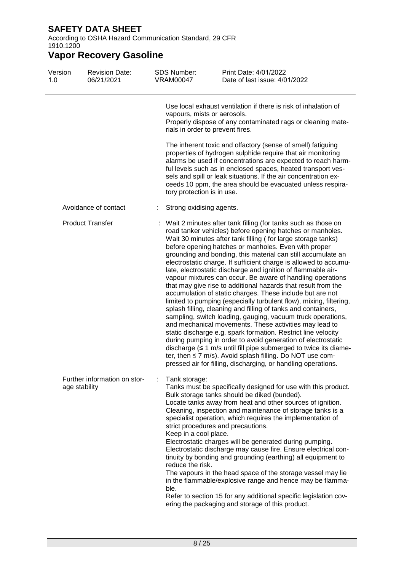According to OSHA Hazard Communication Standard, 29 CFR 1910.1200

| Version<br>1.0 | <b>Revision Date:</b><br>06/21/2021           | <b>SDS Number:</b><br><b>VRAM00047</b>                             | Print Date: 4/01/2022<br>Date of last issue: 4/01/2022                                                                                                                                                                                                                                                                                                                                                                                                                                                                                                                                                                                                                                                                                                                                                                                                                                                                                                                                                                                                                                                                                                                                                                                                                  |
|----------------|-----------------------------------------------|--------------------------------------------------------------------|-------------------------------------------------------------------------------------------------------------------------------------------------------------------------------------------------------------------------------------------------------------------------------------------------------------------------------------------------------------------------------------------------------------------------------------------------------------------------------------------------------------------------------------------------------------------------------------------------------------------------------------------------------------------------------------------------------------------------------------------------------------------------------------------------------------------------------------------------------------------------------------------------------------------------------------------------------------------------------------------------------------------------------------------------------------------------------------------------------------------------------------------------------------------------------------------------------------------------------------------------------------------------|
|                |                                               | vapours, mists or aerosols.                                        | Use local exhaust ventilation if there is risk of inhalation of<br>Properly dispose of any contaminated rags or cleaning mate-<br>rials in order to prevent fires.                                                                                                                                                                                                                                                                                                                                                                                                                                                                                                                                                                                                                                                                                                                                                                                                                                                                                                                                                                                                                                                                                                      |
|                |                                               | tory protection is in use.                                         | The inherent toxic and olfactory (sense of smell) fatiguing<br>properties of hydrogen sulphide require that air monitoring<br>alarms be used if concentrations are expected to reach harm-<br>ful levels such as in enclosed spaces, heated transport ves-<br>sels and spill or leak situations. If the air concentration ex-<br>ceeds 10 ppm, the area should be evacuated unless respira-                                                                                                                                                                                                                                                                                                                                                                                                                                                                                                                                                                                                                                                                                                                                                                                                                                                                             |
|                | Avoidance of contact                          | Strong oxidising agents.                                           |                                                                                                                                                                                                                                                                                                                                                                                                                                                                                                                                                                                                                                                                                                                                                                                                                                                                                                                                                                                                                                                                                                                                                                                                                                                                         |
|                | <b>Product Transfer</b>                       |                                                                    | Wait 2 minutes after tank filling (for tanks such as those on<br>road tanker vehicles) before opening hatches or manholes.<br>Wait 30 minutes after tank filling (for large storage tanks)<br>before opening hatches or manholes. Even with proper<br>grounding and bonding, this material can still accumulate an<br>electrostatic charge. If sufficient charge is allowed to accumu-<br>late, electrostatic discharge and ignition of flammable air-<br>vapour mixtures can occur. Be aware of handling operations<br>that may give rise to additional hazards that result from the<br>accumulation of static charges. These include but are not<br>limited to pumping (especially turbulent flow), mixing, filtering,<br>splash filling, cleaning and filling of tanks and containers,<br>sampling, switch loading, gauging, vacuum truck operations,<br>and mechanical movements. These activities may lead to<br>static discharge e.g. spark formation. Restrict line velocity<br>during pumping in order to avoid generation of electrostatic<br>discharge $(\leq 1 \text{ m/s}$ until fill pipe submerged to twice its diame-<br>ter, then $\leq$ 7 m/s). Avoid splash filling. Do NOT use com-<br>pressed air for filling, discharging, or handling operations. |
|                | Further information on stor-<br>age stability | Tank storage:<br>Keep in a cool place.<br>reduce the risk.<br>ble. | Tanks must be specifically designed for use with this product.<br>Bulk storage tanks should be diked (bunded).<br>Locate tanks away from heat and other sources of ignition.<br>Cleaning, inspection and maintenance of storage tanks is a<br>specialist operation, which requires the implementation of<br>strict procedures and precautions.<br>Electrostatic charges will be generated during pumping.<br>Electrostatic discharge may cause fire. Ensure electrical con-<br>tinuity by bonding and grounding (earthing) all equipment to<br>The vapours in the head space of the storage vessel may lie<br>in the flammable/explosive range and hence may be flamma-<br>Refer to section 15 for any additional specific legislation cov-<br>ering the packaging and storage of this product.                                                                                                                                                                                                                                                                                                                                                                                                                                                                         |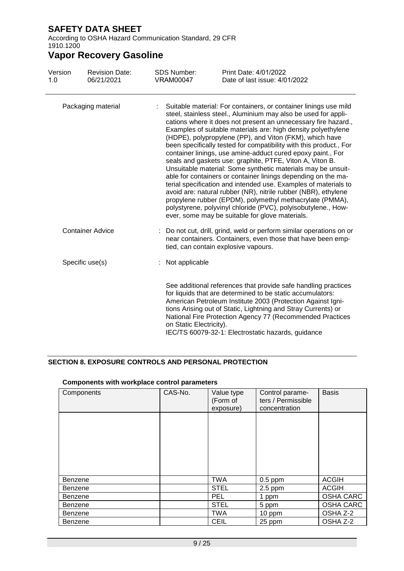According to OSHA Hazard Communication Standard, 29 CFR 1910.1200

## **Vapor Recovery Gasoline**

| Version<br>1.0     | <b>Revision Date:</b><br>06/21/2021 | <b>SDS Number:</b><br><b>VRAM00047</b> | Print Date: 4/01/2022<br>Date of last issue: 4/01/2022                                                                                                                                                                                                                                                                                                                                                                                                                                                                                                                                                                                                                                                                                                                                                                                                                                                                                                                                  |
|--------------------|-------------------------------------|----------------------------------------|-----------------------------------------------------------------------------------------------------------------------------------------------------------------------------------------------------------------------------------------------------------------------------------------------------------------------------------------------------------------------------------------------------------------------------------------------------------------------------------------------------------------------------------------------------------------------------------------------------------------------------------------------------------------------------------------------------------------------------------------------------------------------------------------------------------------------------------------------------------------------------------------------------------------------------------------------------------------------------------------|
| Packaging material |                                     |                                        | Suitable material: For containers, or container linings use mild<br>steel, stainless steel., Aluminium may also be used for appli-<br>cations where it does not present an unnecessary fire hazard.,<br>Examples of suitable materials are: high density polyethylene<br>(HDPE), polypropylene (PP), and Viton (FKM), which have<br>been specifically tested for compatibility with this product., For<br>container linings, use amine-adduct cured epoxy paint., For<br>seals and gaskets use: graphite, PTFE, Viton A, Viton B.<br>Unsuitable material: Some synthetic materials may be unsuit-<br>able for containers or container linings depending on the ma-<br>terial specification and intended use. Examples of materials to<br>avoid are: natural rubber (NR), nitrile rubber (NBR), ethylene<br>propylene rubber (EPDM), polymethyl methacrylate (PMMA),<br>polystyrene, polyvinyl chloride (PVC), polyisobutylene., How-<br>ever, some may be suitable for glove materials. |
|                    | <b>Container Advice</b>             |                                        | Do not cut, drill, grind, weld or perform similar operations on or<br>near containers. Containers, even those that have been emp-<br>tied, can contain explosive vapours.                                                                                                                                                                                                                                                                                                                                                                                                                                                                                                                                                                                                                                                                                                                                                                                                               |
|                    | Specific use(s)                     | : Not applicable                       |                                                                                                                                                                                                                                                                                                                                                                                                                                                                                                                                                                                                                                                                                                                                                                                                                                                                                                                                                                                         |
|                    |                                     | on Static Electricity).                | See additional references that provide safe handling practices<br>for liquids that are determined to be static accumulators:<br>American Petroleum Institute 2003 (Protection Against Igni-<br>tions Arising out of Static, Lightning and Stray Currents) or<br>National Fire Protection Agency 77 (Recommended Practices<br>IEC/TS 60079-32-1: Electrostatic hazards, guidance                                                                                                                                                                                                                                                                                                                                                                                                                                                                                                                                                                                                         |

### **SECTION 8. EXPOSURE CONTROLS AND PERSONAL PROTECTION**

| Components     | CAS-No. | Value type<br>(Form of<br>exposure) | Control parame-<br>ters / Permissible<br>concentration | <b>Basis</b>     |
|----------------|---------|-------------------------------------|--------------------------------------------------------|------------------|
|                |         |                                     |                                                        |                  |
|                |         |                                     |                                                        |                  |
|                |         |                                     |                                                        |                  |
| Benzene        |         | TWA                                 | $0.5$ ppm                                              | <b>ACGIH</b>     |
| <b>Benzene</b> |         | <b>STEL</b>                         | $2.5$ ppm                                              | <b>ACGIH</b>     |
| <b>Benzene</b> |         | <b>PEL</b>                          | 1 ppm                                                  | <b>OSHA CARC</b> |
| Benzene        |         | <b>STEL</b>                         | 5 ppm                                                  | <b>OSHA CARC</b> |
| Benzene        |         | TWA                                 | 10 ppm                                                 | OSHA Z-2         |
| <b>Benzene</b> |         | <b>CEIL</b>                         | 25 ppm                                                 | OSHA Z-2         |

### **Components with workplace control parameters**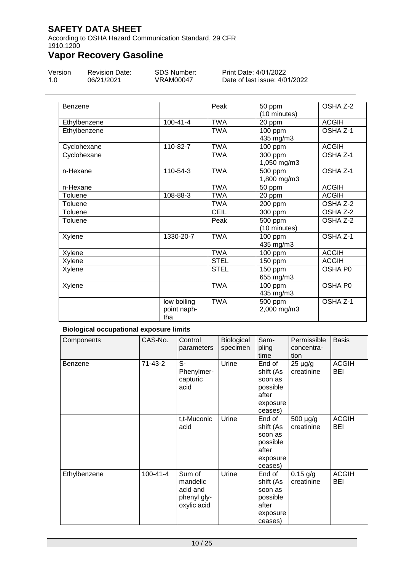According to OSHA Hazard Communication Standard, 29 CFR 1910.1200

# **Vapor Recovery Gasoline**

| Version | <b>Revision Date:</b> | SDS Number: | Print Date: 4/01/2022         |
|---------|-----------------------|-------------|-------------------------------|
| 1.0     | 06/21/2021            | VRAM00047   | Date of last issue: 4/01/2022 |

| Benzene      |                                   | Peak        | 50 ppm<br>(10 minutes)  | OSHA Z-2            |
|--------------|-----------------------------------|-------------|-------------------------|---------------------|
| Ethylbenzene | $100 - 41 - 4$                    | <b>TWA</b>  | 20 ppm                  | <b>ACGIH</b>        |
| Ethylbenzene |                                   | <b>TWA</b>  | $100$ ppm<br>435 mg/m3  | OSHA Z-1            |
| Cyclohexane  | 110-82-7                          | <b>TWA</b>  | 100 ppm                 | <b>ACGIH</b>        |
| Cyclohexane  |                                   | <b>TWA</b>  | 300 ppm<br>1,050 mg/m3  | OSHA Z-1            |
| n-Hexane     | 110-54-3                          | <b>TWA</b>  | 500 ppm<br>1,800 mg/m3  | OSHA Z-1            |
| n-Hexane     |                                   | <b>TWA</b>  | 50 ppm                  | <b>ACGIH</b>        |
| Toluene      | 108-88-3                          | <b>TWA</b>  | 20 ppm                  | <b>ACGIH</b>        |
| Toluene      |                                   | <b>TWA</b>  | 200 ppm                 | OSHA Z-2            |
| Toluene      |                                   | <b>CEIL</b> | 300 ppm                 | OSHA Z-2            |
| Toluene      |                                   | Peak        | 500 ppm<br>(10 minutes) | OSHA Z-2            |
| Xylene       | 1330-20-7                         | <b>TWA</b>  | 100 ppm<br>435 mg/m3    | OSHA Z-1            |
| Xylene       |                                   | <b>TWA</b>  | $100$ ppm               | <b>ACGIH</b>        |
| Xylene       |                                   | <b>STEL</b> | 150 ppm                 | <b>ACGIH</b>        |
| Xylene       |                                   | <b>STEL</b> | 150 ppm<br>655 mg/m3    | <b>OSHA P0</b>      |
| Xylene       |                                   | <b>TWA</b>  | 100 ppm<br>435 mg/m3    | OSHA PO             |
|              | low boiling<br>point naph-<br>tha | <b>TWA</b>  | 500 ppm<br>2,000 mg/m3  | OSHA <sub>Z-1</sub> |

### **Biological occupational exposure limits**

| Components   | CAS-No.        | Control<br>parameters                                        | Biological<br>specimen | Sam-<br>pling<br>time                                                      | Permissible<br>concentra-<br>tion | <b>Basis</b>               |
|--------------|----------------|--------------------------------------------------------------|------------------------|----------------------------------------------------------------------------|-----------------------------------|----------------------------|
| Benzene      | $71-43-2$      | S-<br>Phenylmer-<br>capturic<br>acid                         | Urine                  | End of<br>shift (As<br>soon as<br>possible<br>after<br>exposure<br>ceases) | $25 \mu g/g$<br>creatinine        | <b>ACGIH</b><br>BEI        |
|              |                | t,t-Muconic<br>acid                                          | Urine                  | End of<br>shift (As<br>soon as<br>possible<br>after<br>exposure<br>ceases) | 500 µg/g<br>creatinine            | <b>ACGIH</b><br><b>BEI</b> |
| Ethylbenzene | $100 - 41 - 4$ | Sum of<br>mandelic<br>acid and<br>phenyl gly-<br>oxylic acid | Urine                  | End of<br>shift (As<br>soon as<br>possible<br>after<br>exposure<br>ceases) | $0.15$ g/g<br>creatinine          | <b>ACGIH</b><br>BEI        |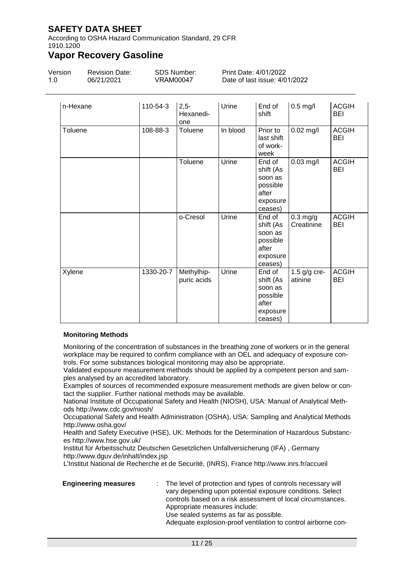According to OSHA Hazard Communication Standard, 29 CFR 1910.1200

### **Vapor Recovery Gasoline**

| Version | <b>Revision Date:</b> | SDS Number: | Print Date: 4/01/2022         |
|---------|-----------------------|-------------|-------------------------------|
| 1.0     | 06/21/2021            | VRAM00047   | Date of last issue: 4/01/2022 |

| n-Hexane | 110-54-3  | $2,5-$<br>Hexanedi-<br>one | Urine    | End of<br>shift                                                            | $0.5$ mg/l                | <b>ACGIH</b><br>BEI        |
|----------|-----------|----------------------------|----------|----------------------------------------------------------------------------|---------------------------|----------------------------|
| Toluene  | 108-88-3  | Toluene                    | In blood | Prior to<br>last shift<br>of work-<br>week                                 | $0.02$ mg/l               | <b>ACGIH</b><br>BEI        |
|          |           | Toluene                    | Urine    | End of<br>shift (As<br>soon as<br>possible<br>after<br>exposure<br>ceases) | $0.03$ mg/l               | <b>ACGIH</b><br><b>BEI</b> |
|          |           | o-Cresol                   | Urine    | End of<br>shift (As<br>soon as<br>possible<br>after<br>exposure<br>ceases) | $0.3$ mg/g<br>Creatinine  | <b>ACGIH</b><br><b>BEI</b> |
| Xylene   | 1330-20-7 | Methylhip-<br>puric acids  | Urine    | End of<br>shift (As<br>soon as<br>possible<br>after<br>exposure<br>ceases) | 1.5 $g/g$ cre-<br>atinine | <b>ACGIH</b><br>BEI        |

### **Monitoring Methods**

Monitoring of the concentration of substances in the breathing zone of workers or in the general workplace may be required to confirm compliance with an OEL and adequacy of exposure controls. For some substances biological monitoring may also be appropriate.

Validated exposure measurement methods should be applied by a competent person and samples analysed by an accredited laboratory.

Examples of sources of recommended exposure measurement methods are given below or contact the supplier. Further national methods may be available.

National Institute of Occupational Safety and Health (NIOSH), USA: Manual of Analytical Methods http://www.cdc.gov/niosh/

Occupational Safety and Health Administration (OSHA), USA: Sampling and Analytical Methods http://www.osha.gov/

Health and Safety Executive (HSE), UK: Methods for the Determination of Hazardous Substances http://www.hse.gov.uk/

Institut für Arbeitsschutz Deutschen Gesetzlichen Unfallversicherung (IFA) , Germany http://www.dguv.de/inhalt/index.jsp

L'Institut National de Recherche et de Securité, (INRS), France http://www.inrs.fr/accueil

**Engineering measures** : The level of protection and types of controls necessary will vary depending upon potential exposure conditions. Select controls based on a risk assessment of local circumstances. Appropriate measures include: Use sealed systems as far as possible.

Adequate explosion-proof ventilation to control airborne con-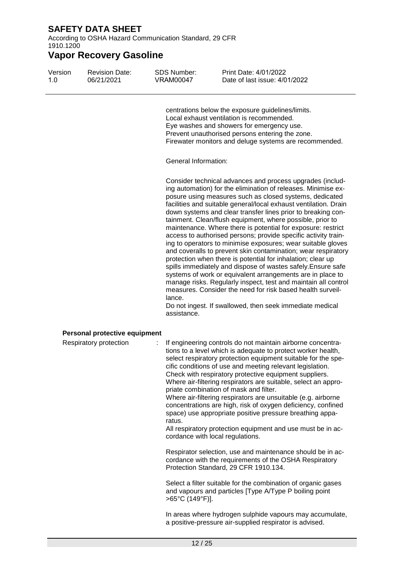According to OSHA Hazard Communication Standard, 29 CFR 1910.1200

### **Vapor Recovery Gasoline**

| Version | <b>Revision Date:</b> | SDS Number: | <b>Print Date: 4/01/2022</b>  |
|---------|-----------------------|-------------|-------------------------------|
|         | 06/21/2021            | VRAM00047   | Date of last issue: 4/01/2022 |

centrations below the exposure guidelines/limits. Local exhaust ventilation is recommended. Eye washes and showers for emergency use. Prevent unauthorised persons entering the zone. Firewater monitors and deluge systems are recommended.

General Information:

Consider technical advances and process upgrades (including automation) for the elimination of releases. Minimise exposure using measures such as closed systems, dedicated facilities and suitable general/local exhaust ventilation. Drain down systems and clear transfer lines prior to breaking containment. Clean/flush equipment, where possible, prior to maintenance. Where there is potential for exposure: restrict access to authorised persons; provide specific activity training to operators to minimise exposures; wear suitable gloves and coveralls to prevent skin contamination; wear respiratory protection when there is potential for inhalation; clear up spills immediately and dispose of wastes safely.Ensure safe systems of work or equivalent arrangements are in place to manage risks. Regularly inspect, test and maintain all control measures. Consider the need for risk based health surveillance.

Do not ingest. If swallowed, then seek immediate medical assistance.

### **Personal protective equipment**

| Respiratory protection | : If engineering controls do not maintain airborne concentra-<br>tions to a level which is adequate to protect worker health,<br>select respiratory protection equipment suitable for the spe-<br>cific conditions of use and meeting relevant legislation.<br>Check with respiratory protective equipment suppliers.<br>Where air-filtering respirators are suitable, select an appro-<br>priate combination of mask and filter.<br>Where air-filtering respirators are unsuitable (e.g. airborne<br>concentrations are high, risk of oxygen deficiency, confined<br>space) use appropriate positive pressure breathing appa-<br>ratus.<br>All respiratory protection equipment and use must be in ac-<br>cordance with local regulations. |
|------------------------|---------------------------------------------------------------------------------------------------------------------------------------------------------------------------------------------------------------------------------------------------------------------------------------------------------------------------------------------------------------------------------------------------------------------------------------------------------------------------------------------------------------------------------------------------------------------------------------------------------------------------------------------------------------------------------------------------------------------------------------------|
|                        | Respirator selection, use and maintenance should be in ac-<br>cordance with the requirements of the OSHA Respiratory<br>Protection Standard, 29 CFR 1910.134.                                                                                                                                                                                                                                                                                                                                                                                                                                                                                                                                                                               |
|                        | Select a filter suitable for the combination of organic gases<br>and vapours and particles [Type A/Type P boiling point<br>>65°C (149°F)].                                                                                                                                                                                                                                                                                                                                                                                                                                                                                                                                                                                                  |
|                        | .                                                                                                                                                                                                                                                                                                                                                                                                                                                                                                                                                                                                                                                                                                                                           |

In areas where hydrogen sulphide vapours may accumulate, a positive-pressure air-supplied respirator is advised.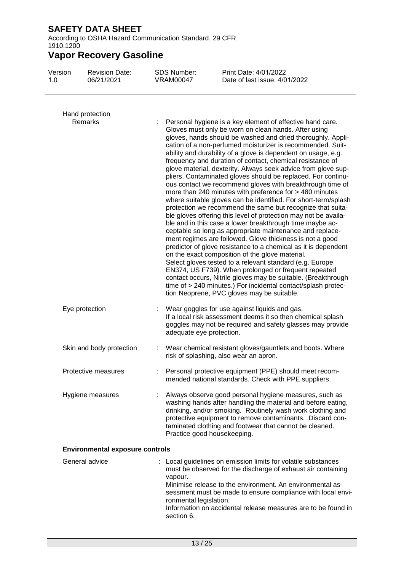According to OSHA Hazard Communication Standard, 29 CFR 1910.1200

| Version<br>1.0 | <b>Revision Date:</b><br>06/21/2021    |    | <b>SDS Number:</b><br><b>VRAM00047</b>          | Print Date: 4/01/2022<br>Date of last issue: 4/01/2022                                                                                                                                                                                                                                                                                                                                                                                                                                                                                                                                                                                                                                                                                                                                                                                                                                                                                                                                                                                                                                                                                                                                                                                                                                                                           |
|----------------|----------------------------------------|----|-------------------------------------------------|----------------------------------------------------------------------------------------------------------------------------------------------------------------------------------------------------------------------------------------------------------------------------------------------------------------------------------------------------------------------------------------------------------------------------------------------------------------------------------------------------------------------------------------------------------------------------------------------------------------------------------------------------------------------------------------------------------------------------------------------------------------------------------------------------------------------------------------------------------------------------------------------------------------------------------------------------------------------------------------------------------------------------------------------------------------------------------------------------------------------------------------------------------------------------------------------------------------------------------------------------------------------------------------------------------------------------------|
|                | Hand protection<br>Remarks             |    |                                                 | Personal hygiene is a key element of effective hand care.<br>Gloves must only be worn on clean hands. After using                                                                                                                                                                                                                                                                                                                                                                                                                                                                                                                                                                                                                                                                                                                                                                                                                                                                                                                                                                                                                                                                                                                                                                                                                |
|                |                                        |    |                                                 | gloves, hands should be washed and dried thoroughly. Appli-<br>cation of a non-perfumed moisturizer is recommended. Suit-<br>ability and durability of a glove is dependent on usage, e.g.<br>frequency and duration of contact, chemical resistance of<br>glove material, dexterity. Always seek advice from glove sup-<br>pliers. Contaminated gloves should be replaced. For continu-<br>ous contact we recommend gloves with breakthrough time of<br>more than 240 minutes with preference for > 480 minutes<br>where suitable gloves can be identified. For short-term/splash<br>protection we recommend the same but recognize that suita-<br>ble gloves offering this level of protection may not be availa-<br>ble and in this case a lower breakthrough time maybe ac-<br>ceptable so long as appropriate maintenance and replace-<br>ment regimes are followed. Glove thickness is not a good<br>predictor of glove resistance to a chemical as it is dependent<br>on the exact composition of the glove material.<br>Select gloves tested to a relevant standard (e.g. Europe<br>EN374, US F739). When prolonged or frequent repeated<br>contact occurs, Nitrile gloves may be suitable. (Breakthrough<br>time of > 240 minutes.) For incidental contact/splash protec-<br>tion Neoprene, PVC gloves may be suitable. |
|                | Eye protection                         |    | adequate eye protection.                        | Wear goggles for use against liquids and gas.<br>If a local risk assessment deems it so then chemical splash<br>goggles may not be required and safety glasses may provide                                                                                                                                                                                                                                                                                                                                                                                                                                                                                                                                                                                                                                                                                                                                                                                                                                                                                                                                                                                                                                                                                                                                                       |
|                | Skin and body protection               | t. |                                                 | Wear chemical resistant gloves/gauntlets and boots. Where<br>risk of splashing, also wear an apron.                                                                                                                                                                                                                                                                                                                                                                                                                                                                                                                                                                                                                                                                                                                                                                                                                                                                                                                                                                                                                                                                                                                                                                                                                              |
|                | Protective measures                    |    |                                                 | Personal protective equipment (PPE) should meet recom-<br>mended national standards. Check with PPE suppliers.                                                                                                                                                                                                                                                                                                                                                                                                                                                                                                                                                                                                                                                                                                                                                                                                                                                                                                                                                                                                                                                                                                                                                                                                                   |
|                | Hygiene measures                       |    |                                                 | Always observe good personal hygiene measures, such as<br>washing hands after handling the material and before eating,<br>drinking, and/or smoking. Routinely wash work clothing and<br>protective equipment to remove contaminants. Discard con-<br>taminated clothing and footwear that cannot be cleaned.<br>Practice good housekeeping.                                                                                                                                                                                                                                                                                                                                                                                                                                                                                                                                                                                                                                                                                                                                                                                                                                                                                                                                                                                      |
|                | <b>Environmental exposure controls</b> |    |                                                 |                                                                                                                                                                                                                                                                                                                                                                                                                                                                                                                                                                                                                                                                                                                                                                                                                                                                                                                                                                                                                                                                                                                                                                                                                                                                                                                                  |
|                | General advice                         |    | vapour.<br>ronmental legislation.<br>section 6. | Local guidelines on emission limits for volatile substances<br>must be observed for the discharge of exhaust air containing<br>Minimise release to the environment. An environmental as-<br>sessment must be made to ensure compliance with local envi-<br>Information on accidental release measures are to be found in                                                                                                                                                                                                                                                                                                                                                                                                                                                                                                                                                                                                                                                                                                                                                                                                                                                                                                                                                                                                         |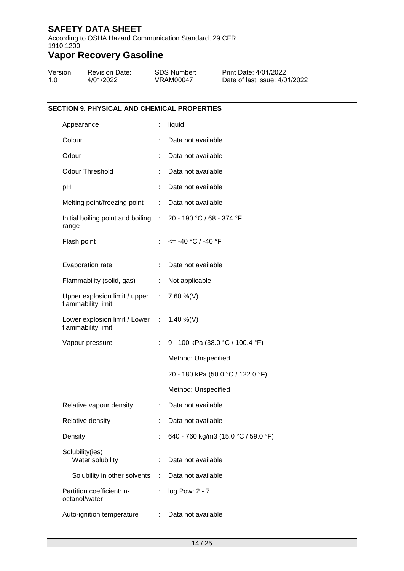According to OSHA Hazard Communication Standard, 29 CFR 1910.1200

# **Vapor Recovery Gasoline**

| Version | <b>Revision Date:</b> | SDS Number: | Print Date: 4/01/2022         |
|---------|-----------------------|-------------|-------------------------------|
| 1.0     | 4/01/2022             | VRAM00047   | Date of last issue: 4/01/2022 |

### **SECTION 9. PHYSICAL AND CHEMICAL PROPERTIES**

| ÷                                                     | liquid                                                        |
|-------------------------------------------------------|---------------------------------------------------------------|
|                                                       | Data not available                                            |
|                                                       | Data not available                                            |
|                                                       | Data not available                                            |
|                                                       | Data not available                                            |
| Melting point/freezing point<br>$\mathbb{Z}^{\times}$ | Data not available                                            |
|                                                       | Initial boiling point and boiling : 20 - 190 °C / 68 - 374 °F |
|                                                       | $\le$ = -40 °C / -40 °F                                       |
| ÷                                                     | Data not available                                            |
| Flammability (solid, gas)<br>$\mathbb{Z}^{\times}$    | Not applicable                                                |
| Upper explosion limit / upper :                       | 7.60 %(V)                                                     |
|                                                       | Lower explosion limit / Lower : 1.40 %(V)                     |
|                                                       | 9 - 100 kPa (38.0 °C / 100.4 °F)                              |
|                                                       | Method: Unspecified                                           |
|                                                       | 20 - 180 kPa (50.0 °C / 122.0 °F)                             |
|                                                       | Method: Unspecified                                           |
| ÷.                                                    | Data not available                                            |
|                                                       | Data not available                                            |
|                                                       | 640 - 760 kg/m3 (15.0 °C / 59.0 °F)                           |
|                                                       | Data not available                                            |
| Solubility in other solvents<br>÷                     | Data not available                                            |
| ÷.                                                    | log Pow: 2 - 7                                                |
| <b>Contract Contract</b>                              | Data not available                                            |
|                                                       |                                                               |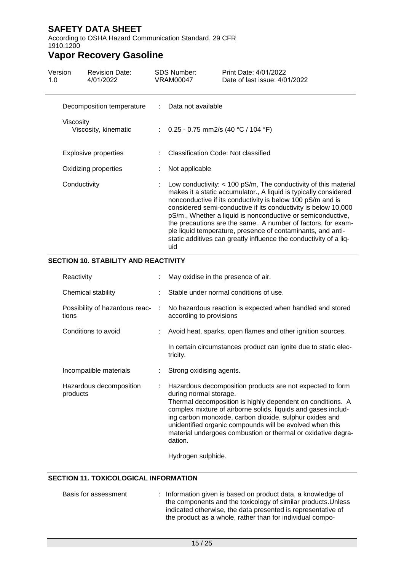According to OSHA Hazard Communication Standard, 29 CFR 1910.1200

### **Vapor Recovery Gasoline**

| Version<br>1.0 | <b>Revision Date:</b><br>4/01/2022 |    | <b>SDS Number:</b><br><b>VRAM00047</b> | Print Date: 4/01/2022<br>Date of last issue: 4/01/2022                                                                                                                                                                                                                                                                                                                                                                                                                                                                                    |
|----------------|------------------------------------|----|----------------------------------------|-------------------------------------------------------------------------------------------------------------------------------------------------------------------------------------------------------------------------------------------------------------------------------------------------------------------------------------------------------------------------------------------------------------------------------------------------------------------------------------------------------------------------------------------|
|                | Decomposition temperature          | t. | Data not available                     |                                                                                                                                                                                                                                                                                                                                                                                                                                                                                                                                           |
| Viscositv      | Viscosity, kinematic               |    | : $0.25 - 0.75$ mm2/s (40 °C / 104 °F) |                                                                                                                                                                                                                                                                                                                                                                                                                                                                                                                                           |
|                | <b>Explosive properties</b>        |    | Classification Code: Not classified    |                                                                                                                                                                                                                                                                                                                                                                                                                                                                                                                                           |
|                | Oxidizing properties               |    | Not applicable                         |                                                                                                                                                                                                                                                                                                                                                                                                                                                                                                                                           |
| Conductivity   |                                    |    | uid                                    | : Low conductivity: < 100 pS/m, The conductivity of this material<br>makes it a static accumulator., A liquid is typically considered<br>nonconductive if its conductivity is below 100 pS/m and is<br>considered semi-conductive if its conductivity is below 10,000<br>pS/m., Whether a liquid is nonconductive or semiconductive,<br>the precautions are the same., A number of factors, for exam-<br>ple liquid temperature, presence of contaminants, and anti-<br>static additives can greatly influence the conductivity of a liq- |

### **SECTION 10. STABILITY AND REACTIVITY**

| Reactivity                                |    | May oxidise in the presence of air.                                                                                                                                                                                                                                                                                                                                                                                  |  |
|-------------------------------------------|----|----------------------------------------------------------------------------------------------------------------------------------------------------------------------------------------------------------------------------------------------------------------------------------------------------------------------------------------------------------------------------------------------------------------------|--|
| Chemical stability                        |    | : Stable under normal conditions of use.                                                                                                                                                                                                                                                                                                                                                                             |  |
| Possibility of hazardous reac- :<br>tions |    | No hazardous reaction is expected when handled and stored<br>according to provisions                                                                                                                                                                                                                                                                                                                                 |  |
| Conditions to avoid                       |    | : Avoid heat, sparks, open flames and other ignition sources.                                                                                                                                                                                                                                                                                                                                                        |  |
|                                           |    | In certain circumstances product can ignite due to static elec-<br>tricity.                                                                                                                                                                                                                                                                                                                                          |  |
| Incompatible materials                    |    | Strong oxidising agents.                                                                                                                                                                                                                                                                                                                                                                                             |  |
| Hazardous decomposition<br>products       | ÷. | Hazardous decomposition products are not expected to form<br>during normal storage.<br>Thermal decomposition is highly dependent on conditions. A<br>complex mixture of airborne solids, liquids and gases includ-<br>ing carbon monoxide, carbon dioxide, sulphur oxides and<br>unidentified organic compounds will be evolved when this<br>material undergoes combustion or thermal or oxidative degra-<br>dation. |  |
|                                           |    | Hydrogen sulphide.                                                                                                                                                                                                                                                                                                                                                                                                   |  |

### **SECTION 11. TOXICOLOGICAL INFORMATION**

Basis for assessment : Information given is based on product data, a knowledge of the components and the toxicology of similar products.Unless indicated otherwise, the data presented is representative of the product as a whole, rather than for individual compo-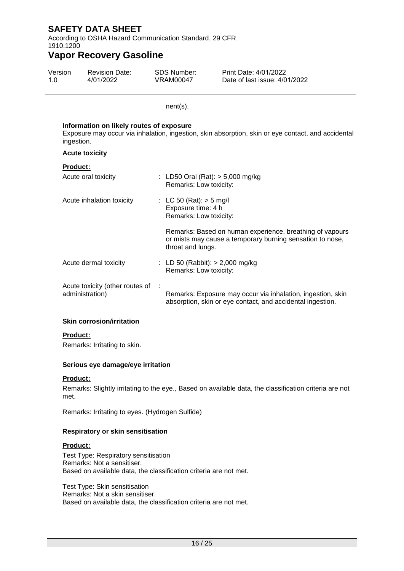According to OSHA Hazard Communication Standard, 29 CFR 1910.1200

### **Vapor Recovery Gasoline**

| Version | <b>Revision Date:</b> | SDS Number: | Print Date: 4/01/2022         |
|---------|-----------------------|-------------|-------------------------------|
| 1.0     | 4/01/2022             | VRAM00047   | Date of last issue: 4/01/2022 |

nent(s).

### **Information on likely routes of exposure** Exposure may occur via inhalation, ingestion, skin absorption, skin or eye contact, and accidental ingestion. **Acute toxicity Product:** Acute oral toxicity : LD50 Oral (Rat): > 5,000 mg/kg Remarks: Low toxicity: Acute inhalation toxicity : LC 50 (Rat): > 5 mg/l Exposure time: 4 h Remarks: Low toxicity: Remarks: Based on human experience, breathing of vapours or mists may cause a temporary burning sensation to nose, throat and lungs. Acute dermal toxicity : LD 50 (Rabbit): > 2,000 mg/kg Remarks: Low toxicity: Acute toxicity (other routes of : administration) Remarks: Exposure may occur via inhalation, ingestion, skin absorption, skin or eye contact, and accidental ingestion.

### **Skin corrosion/irritation**

### **Product:**

Remarks: Irritating to skin.

### **Serious eye damage/eye irritation**

### **Product:**

Remarks: Slightly irritating to the eye., Based on available data, the classification criteria are not met.

Remarks: Irritating to eyes. (Hydrogen Sulfide)

### **Respiratory or skin sensitisation**

### **Product:**

Test Type: Respiratory sensitisation Remarks: Not a sensitiser. Based on available data, the classification criteria are not met.

Test Type: Skin sensitisation Remarks: Not a skin sensitiser. Based on available data, the classification criteria are not met.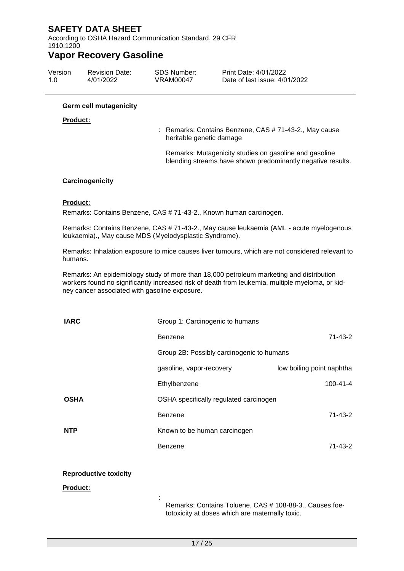According to OSHA Hazard Communication Standard, 29 CFR 1910.1200

### **Vapor Recovery Gasoline**

| Version | <b>Revision Date:</b> | SDS Number: | Print Date: 4/01/2022         |
|---------|-----------------------|-------------|-------------------------------|
| 1.0     | 4/01/2022             | VRAM00047   | Date of last issue: 4/01/2022 |

### **Germ cell mutagenicity**

#### **Product:**

: Remarks: Contains Benzene, CAS # 71-43-2., May cause heritable genetic damage

Remarks: Mutagenicity studies on gasoline and gasoline blending streams have shown predominantly negative results.

### **Carcinogenicity**

#### **Product:**

Remarks: Contains Benzene, CAS # 71-43-2., Known human carcinogen.

Remarks: Contains Benzene, CAS # 71-43-2., May cause leukaemia (AML - acute myelogenous leukaemia)., May cause MDS (Myelodysplastic Syndrome).

Remarks: Inhalation exposure to mice causes liver tumours, which are not considered relevant to humans.

Remarks: An epidemiology study of more than 18,000 petroleum marketing and distribution workers found no significantly increased risk of death from leukemia, multiple myeloma, or kidney cancer associated with gasoline exposure.

| <b>IARC</b> | Group 1: Carcinogenic to humans           |                           |
|-------------|-------------------------------------------|---------------------------|
|             | Benzene                                   | 71-43-2                   |
|             | Group 2B: Possibly carcinogenic to humans |                           |
|             | gasoline, vapor-recovery                  | low boiling point naphtha |
|             | Ethylbenzene                              | $100 - 41 - 4$            |
| <b>OSHA</b> | OSHA specifically regulated carcinogen    |                           |
|             | Benzene                                   | 71-43-2                   |
| <b>NTP</b>  | Known to be human carcinogen              |                           |
|             | Benzene                                   | 71-43-2                   |

### **Reproductive toxicity**

**Product:**

Remarks: Contains Toluene, CAS # 108-88-3., Causes foetotoxicity at doses which are maternally toxic.

: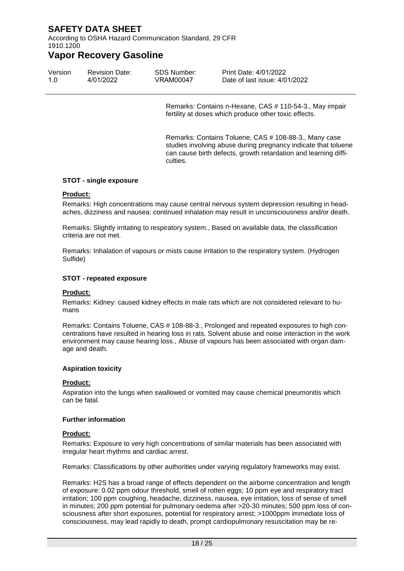According to OSHA Hazard Communication Standard, 29 CFR 1910.1200

### **Vapor Recovery Gasoline**

| Version | <b>Revision Date:</b> | SDS Number: | Print Date: 4/01/2022         |
|---------|-----------------------|-------------|-------------------------------|
| 1.0     | 4/01/2022             | VRAM00047   | Date of last issue: 4/01/2022 |

Remarks: Contains n-Hexane, CAS # 110-54-3., May impair fertility at doses which produce other toxic effects.

Remarks: Contains Toluene, CAS # 108-88-3., Many case studies involving abuse during pregnancy indicate that toluene can cause birth defects, growth retardation and learning difficulties.

### **STOT - single exposure**

### **Product:**

Remarks: High concentrations may cause central nervous system depression resulting in headaches, dizziness and nausea; continued inhalation may result in unconsciousness and/or death.

Remarks: Slightly irritating to respiratory system., Based on available data, the classification criteria are not met.

Remarks: Inhalation of vapours or mists cause irritation to the respiratory system. (Hydrogen Sulfide)

#### **STOT - repeated exposure**

### **Product:**

Remarks: Kidney: caused kidney effects in male rats which are not considered relevant to humans

Remarks: Contains Toluene, CAS # 108-88-3., Prolonged and repeated exposures to high concentrations have resulted in hearing loss in rats. Solvent abuse and noise interaction in the work environment may cause hearing loss., Abuse of vapours has been associated with organ damage and death.

### **Aspiration toxicity**

### **Product:**

Aspiration into the lungs when swallowed or vomited may cause chemical pneumonitis which can be fatal.

#### **Further information**

#### **Product:**

Remarks: Exposure to very high concentrations of similar materials has been associated with irregular heart rhythms and cardiac arrest.

Remarks: Classifications by other authorities under varying regulatory frameworks may exist.

Remarks: H2S has a broad range of effects dependent on the airborne concentration and length of exposure: 0.02 ppm odour threshold, smell of rotten eggs; 10 ppm eye and respiratory tract irritation; 100 ppm coughing, headache, dizziness, nausea, eye irritation, loss of sense of smell in minutes; 200 ppm potential for pulmonary oedema after >20-30 minutes; 500 ppm loss of consciousness after short exposures, potential for respiratory arrest; >1000ppm immediate loss of consciousness, may lead rapidly to death, prompt cardiopulmonary resuscitation may be re-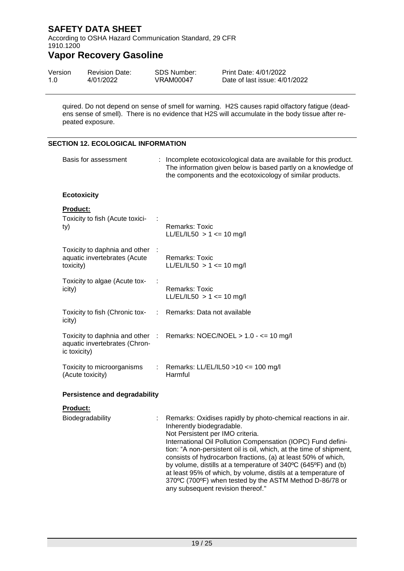According to OSHA Hazard Communication Standard, 29 CFR 1910.1200

## **Vapor Recovery Gasoline**

| Version | <b>Revision Date:</b> | SDS Number: | Print Date: 4/01/2022         |
|---------|-----------------------|-------------|-------------------------------|
| 1.0     | 4/01/2022             | VRAM00047   | Date of last issue: 4/01/2022 |

quired. Do not depend on sense of smell for warning. H2S causes rapid olfactory fatigue (deadens sense of smell). There is no evidence that H2S will accumulate in the body tissue after repeated exposure.

### **SECTION 12. ECOLOGICAL INFORMATION**

| Basis for assessment                                                             |    | : Incomplete ecotoxicological data are available for this product.<br>The information given below is based partly on a knowledge of<br>the components and the ecotoxicology of similar products.                                                                                                                                                                                                                                                                                                                                                                         |  |
|----------------------------------------------------------------------------------|----|--------------------------------------------------------------------------------------------------------------------------------------------------------------------------------------------------------------------------------------------------------------------------------------------------------------------------------------------------------------------------------------------------------------------------------------------------------------------------------------------------------------------------------------------------------------------------|--|
| <b>Ecotoxicity</b>                                                               |    |                                                                                                                                                                                                                                                                                                                                                                                                                                                                                                                                                                          |  |
| Product:<br>Toxicity to fish (Acute toxici-<br>ty)                               |    | <b>Remarks: Toxic</b><br>LL/EL/IL50 > 1 <= 10 mg/l                                                                                                                                                                                                                                                                                                                                                                                                                                                                                                                       |  |
| Toxicity to daphnia and other<br>aquatic invertebrates (Acute<br>toxicity)       |    | <b>Remarks: Toxic</b><br>LL/EL/IL50 > 1 <= 10 mg/l                                                                                                                                                                                                                                                                                                                                                                                                                                                                                                                       |  |
| Toxicity to algae (Acute tox-<br>icity)                                          |    | Remarks: Toxic<br>LL/EL/IL50 > 1 <= 10 mg/l                                                                                                                                                                                                                                                                                                                                                                                                                                                                                                                              |  |
| Toxicity to fish (Chronic tox-<br>icity)                                         | ÷. | Remarks: Data not available                                                                                                                                                                                                                                                                                                                                                                                                                                                                                                                                              |  |
| Toxicity to daphnia and other :<br>aquatic invertebrates (Chron-<br>ic toxicity) |    | Remarks: NOEC/NOEL $> 1.0 - \le 10$ mg/l                                                                                                                                                                                                                                                                                                                                                                                                                                                                                                                                 |  |
| Toxicity to microorganisms<br>(Acute toxicity)                                   | t. | Remarks: LL/EL/IL50 >10 <= 100 mg/l<br>Harmful                                                                                                                                                                                                                                                                                                                                                                                                                                                                                                                           |  |
| <b>Persistence and degradability</b>                                             |    |                                                                                                                                                                                                                                                                                                                                                                                                                                                                                                                                                                          |  |
| <b>Product:</b>                                                                  |    |                                                                                                                                                                                                                                                                                                                                                                                                                                                                                                                                                                          |  |
| Biodegradability                                                                 |    | Remarks: Oxidises rapidly by photo-chemical reactions in air.<br>Inherently biodegradable.<br>Not Persistent per IMO criteria.<br>International Oil Pollution Compensation (IOPC) Fund defini-<br>tion: "A non-persistent oil is oil, which, at the time of shipment,<br>consists of hydrocarbon fractions, (a) at least 50% of which,<br>by volume, distills at a temperature of 340°C (645°F) and (b)<br>at least 95% of which, by volume, distils at a temperature of<br>370°C (700°F) when tested by the ASTM Method D-86/78 or<br>any subsequent revision thereof." |  |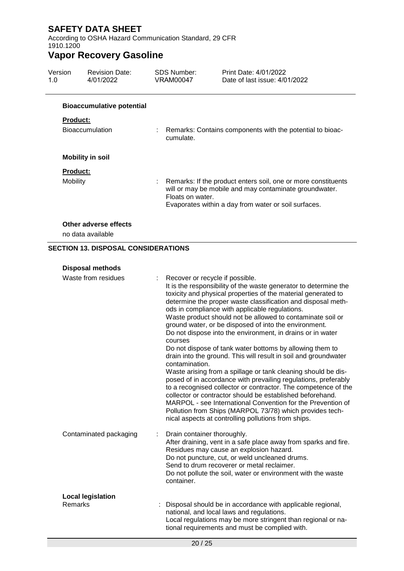According to OSHA Hazard Communication Standard, 29 CFR 1910.1200

| Version<br>1.0 | <b>Revision Date:</b><br>4/01/2022         | SDS Number:<br><b>VRAM00047</b>           | Print Date: 4/01/2022<br>Date of last issue: 4/01/2022                                                                                                                                                                                                                                                                                                                                                                                                                                                                                                                                                                                                                                                                                                                                                                                                                                                                                                                                                                      |
|----------------|--------------------------------------------|-------------------------------------------|-----------------------------------------------------------------------------------------------------------------------------------------------------------------------------------------------------------------------------------------------------------------------------------------------------------------------------------------------------------------------------------------------------------------------------------------------------------------------------------------------------------------------------------------------------------------------------------------------------------------------------------------------------------------------------------------------------------------------------------------------------------------------------------------------------------------------------------------------------------------------------------------------------------------------------------------------------------------------------------------------------------------------------|
|                | <b>Bioaccumulative potential</b>           |                                           |                                                                                                                                                                                                                                                                                                                                                                                                                                                                                                                                                                                                                                                                                                                                                                                                                                                                                                                                                                                                                             |
| Product:       |                                            |                                           |                                                                                                                                                                                                                                                                                                                                                                                                                                                                                                                                                                                                                                                                                                                                                                                                                                                                                                                                                                                                                             |
|                | <b>Bioaccumulation</b>                     | cumulate.                                 | Remarks: Contains components with the potential to bioac-                                                                                                                                                                                                                                                                                                                                                                                                                                                                                                                                                                                                                                                                                                                                                                                                                                                                                                                                                                   |
|                | <b>Mobility in soil</b>                    |                                           |                                                                                                                                                                                                                                                                                                                                                                                                                                                                                                                                                                                                                                                                                                                                                                                                                                                                                                                                                                                                                             |
| Product:       |                                            |                                           |                                                                                                                                                                                                                                                                                                                                                                                                                                                                                                                                                                                                                                                                                                                                                                                                                                                                                                                                                                                                                             |
| Mobility       |                                            | Floats on water.                          | Remarks: If the product enters soil, one or more constituents<br>will or may be mobile and may contaminate groundwater.<br>Evaporates within a day from water or soil surfaces.                                                                                                                                                                                                                                                                                                                                                                                                                                                                                                                                                                                                                                                                                                                                                                                                                                             |
|                | Other adverse effects<br>no data available |                                           |                                                                                                                                                                                                                                                                                                                                                                                                                                                                                                                                                                                                                                                                                                                                                                                                                                                                                                                                                                                                                             |
|                | <b>SECTION 13. DISPOSAL CONSIDERATIONS</b> |                                           |                                                                                                                                                                                                                                                                                                                                                                                                                                                                                                                                                                                                                                                                                                                                                                                                                                                                                                                                                                                                                             |
|                | <b>Disposal methods</b>                    |                                           |                                                                                                                                                                                                                                                                                                                                                                                                                                                                                                                                                                                                                                                                                                                                                                                                                                                                                                                                                                                                                             |
|                | Waste from residues                        |                                           | Recover or recycle if possible.                                                                                                                                                                                                                                                                                                                                                                                                                                                                                                                                                                                                                                                                                                                                                                                                                                                                                                                                                                                             |
|                |                                            | courses<br>contamination.                 | It is the responsibility of the waste generator to determine the<br>toxicity and physical properties of the material generated to<br>determine the proper waste classification and disposal meth-<br>ods in compliance with applicable regulations.<br>Waste product should not be allowed to contaminate soil or<br>ground water, or be disposed of into the environment.<br>Do not dispose into the environment, in drains or in water<br>Do not dispose of tank water bottoms by allowing them to<br>drain into the ground. This will result in soil and groundwater<br>Waste arising from a spillage or tank cleaning should be dis-<br>posed of in accordance with prevailing regulations, preferably<br>to a recognised collector or contractor. The competence of the<br>collector or contractor should be established beforehand.<br>MARPOL - see International Convention for the Prevention of<br>Pollution from Ships (MARPOL 73/78) which provides tech-<br>nical aspects at controlling pollutions from ships. |
|                | Contaminated packaging                     | Drain container thoroughly.<br>container. | After draining, vent in a safe place away from sparks and fire.<br>Residues may cause an explosion hazard.<br>Do not puncture, cut, or weld uncleaned drums.<br>Send to drum recoverer or metal reclaimer.<br>Do not pollute the soil, water or environment with the waste                                                                                                                                                                                                                                                                                                                                                                                                                                                                                                                                                                                                                                                                                                                                                  |
| Remarks        | <b>Local legislation</b>                   |                                           | Disposal should be in accordance with applicable regional,<br>national, and local laws and regulations.<br>Local regulations may be more stringent than regional or na-<br>tional requirements and must be complied with.                                                                                                                                                                                                                                                                                                                                                                                                                                                                                                                                                                                                                                                                                                                                                                                                   |
|                |                                            | 20/25                                     |                                                                                                                                                                                                                                                                                                                                                                                                                                                                                                                                                                                                                                                                                                                                                                                                                                                                                                                                                                                                                             |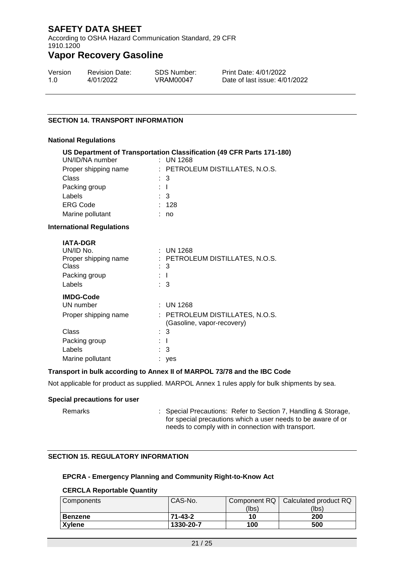According to OSHA Hazard Communication Standard, 29 CFR 1910.1200

### **Vapor Recovery Gasoline**

| Version | <b>Revision Date:</b> | SDS Number: | Print Date: 4/01/2022         |
|---------|-----------------------|-------------|-------------------------------|
| 1.0     | 4/01/2022             | VRAM00047   | Date of last issue: 4/01/2022 |

### **SECTION 14. TRANSPORT INFORMATION**

#### **National Regulations**

|                                  | US Department of Transportation Classification (49 CFR Parts 171-180) |
|----------------------------------|-----------------------------------------------------------------------|
| UN/ID/NA number                  | $:$ UN 1268                                                           |
| Proper shipping name             | : PETROLEUM DISTILLATES, N.O.S.                                       |
| Class                            | $\therefore$ 3                                                        |
| Packing group                    | t T                                                                   |
| Labels                           | $\therefore$ 3                                                        |
| <b>ERG Code</b>                  | : 128                                                                 |
| Marine pollutant                 | no                                                                    |
| <b>International Regulations</b> |                                                                       |
| <b>IATA-DGR</b>                  |                                                                       |
| UN/ID No.                        | $\therefore$ UN 1268                                                  |
| Proper shipping name             | : PETROLEUM DISTILLATES, N.O.S.                                       |
| <b>Class</b>                     | : 3                                                                   |
| Packing group                    | : T                                                                   |
| Labels                           | $\therefore$ 3                                                        |
| <b>IMDG-Code</b>                 |                                                                       |
| UN number                        | $:$ UN 1268                                                           |
| Proper shipping name             | : PETROLEUM DISTILLATES, N.O.S.<br>(Gasoline, vapor-recovery)         |
| Class                            | 3                                                                     |

### **Transport in bulk according to Annex II of MARPOL 73/78 and the IBC Code**

Not applicable for product as supplied. MARPOL Annex 1 rules apply for bulk shipments by sea.

#### **Special precautions for user**

Remarks : Special Precautions: Refer to Section 7, Handling & Storage, for special precautions which a user needs to be aware of or needs to comply with in connection with transport.

### **SECTION 15. REGULATORY INFORMATION**

Packing group : I Labels : 3 Marine pollutant : yes

#### **EPCRA - Emergency Planning and Community Right-to-Know Act**

#### **CERCLA Reportable Quantity**

| Components     | CAS-No.   |       | Component RQ   Calculated product RQ |
|----------------|-----------|-------|--------------------------------------|
|                |           | (lbs) | (lbs)                                |
| <b>Benzene</b> | 71-43-2   | 10    | 200                                  |
| <b>Xylene</b>  | 1330-20-7 | 100   | 500                                  |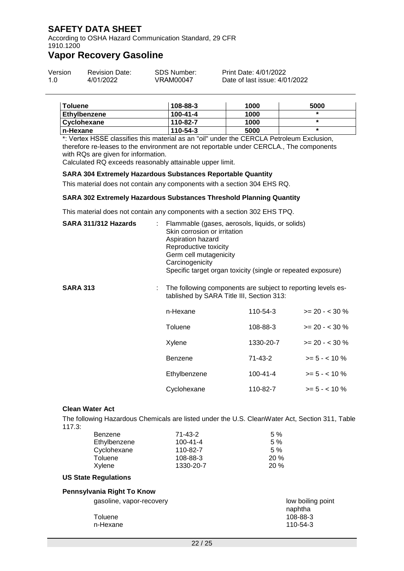According to OSHA Hazard Communication Standard, 29 CFR 1910.1200

### **Vapor Recovery Gasoline**

| Version | <b>Revision Date:</b> | SDS Number: | Print Date: 4/01/2022         |
|---------|-----------------------|-------------|-------------------------------|
| 1.0     | 4/01/2022             | VRAM00047   | Date of last issue: 4/01/2022 |

| <b>Toluene</b>     | 108-88-3       | 1000 | 5000 |
|--------------------|----------------|------|------|
| Ethylbenzene       | $100 - 41 - 4$ | 1000 |      |
| <b>Cyclohexane</b> | 110-82-7       | 1000 |      |
| n-Hexane           | 110-54-3       | 5000 | ×    |

\*: Vertex HSSE classifies this material as an "oil" under the CERCLA Petroleum Exclusion, therefore re-leases to the environment are not reportable under CERCLA., The components with RQs are given for information.

Calculated RQ exceeds reasonably attainable upper limit.

### **SARA 304 Extremely Hazardous Substances Reportable Quantity**

This material does not contain any components with a section 304 EHS RQ.

#### **SARA 302 Extremely Hazardous Substances Threshold Planning Quantity**

This material does not contain any components with a section 302 EHS TPQ.

|                        | SARA 311/312 Hazards | Aspiration hazard<br>Carcinogenicity                                                                      | Flammable (gases, aerosols, liquids, or solids)<br>Skin corrosion or irritation<br>Reproductive toxicity<br>Germ cell mutagenicity<br>Specific target organ toxicity (single or repeated exposure) |                   |  |
|------------------------|----------------------|-----------------------------------------------------------------------------------------------------------|----------------------------------------------------------------------------------------------------------------------------------------------------------------------------------------------------|-------------------|--|
| <b>SARA 313</b>        |                      | The following components are subject to reporting levels es-<br>tablished by SARA Title III, Section 313: |                                                                                                                                                                                                    |                   |  |
|                        |                      | n-Hexane                                                                                                  | 110-54-3                                                                                                                                                                                           | $>= 20 - 30 %$    |  |
|                        |                      | Toluene                                                                                                   | 108-88-3                                                                                                                                                                                           | $>= 20 - < 30 \%$ |  |
|                        |                      | Xylene                                                                                                    | 1330-20-7                                                                                                                                                                                          | $>= 20 - 30 %$    |  |
|                        |                      | <b>Benzene</b>                                                                                            | 71-43-2                                                                                                                                                                                            | $>= 5 - < 10 \%$  |  |
|                        |                      | Ethylbenzene                                                                                              | 100-41-4                                                                                                                                                                                           | $>= 5 - < 10 \%$  |  |
|                        |                      | Cyclohexane                                                                                               | 110-82-7                                                                                                                                                                                           | $>= 5 - < 10 \%$  |  |
| <b>Clean Water Act</b> |                      |                                                                                                           |                                                                                                                                                                                                    |                   |  |
| 117.3:                 |                      | The following Hazardous Chemicals are listed under the U.S. CleanWater Act, Section 311, Table            |                                                                                                                                                                                                    |                   |  |
|                        | Benzene              | $71 - 43 - 2$                                                                                             | 5 %                                                                                                                                                                                                |                   |  |
|                        | Ethylbenzene         | $100 - 41 - 4$                                                                                            | 5 %                                                                                                                                                                                                |                   |  |
|                        | Cyclohexane          | 110-82-7                                                                                                  | 5%                                                                                                                                                                                                 |                   |  |

| Ethylpenzene | 100-41-4  | 5 % |
|--------------|-----------|-----|
| Cyclohexane  | 110-82-7  | 5%  |
| Toluene      | 108-88-3  | 20% |
| Xylene       | 1330-20-7 | 20% |
|              |           |     |

#### **US State Regulations**

| Pennsylvania Right To Know                      |                                                      |  |  |
|-------------------------------------------------|------------------------------------------------------|--|--|
| gasoline, vapor-recovery<br>Toluene<br>n-Hexane | low boiling point<br>naphtha<br>108-88-3<br>110-54-3 |  |  |
|                                                 |                                                      |  |  |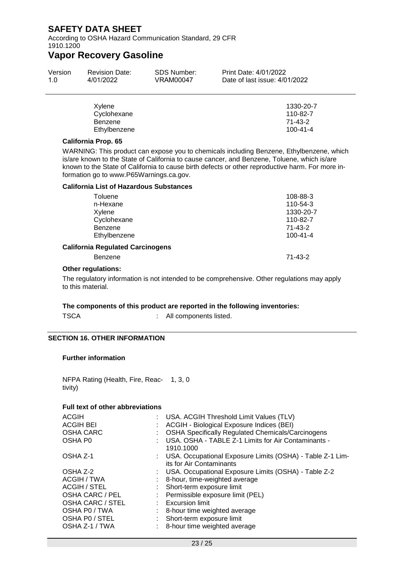According to OSHA Hazard Communication Standard, 29 CFR 1910.1200

### **Vapor Recovery Gasoline**

| Version | <b>Revision Date:</b> | SDS Number: | Print Date: 4/01/2022         |
|---------|-----------------------|-------------|-------------------------------|
| 1.O     | 4/01/2022             | VRAM00047   | Date of last issue: 4/01/2022 |

| Xylene       | 1330-20-7      |
|--------------|----------------|
| Cyclohexane  | 110-82-7       |
| Benzene      | 71-43-2        |
| Ethylbenzene | $100 - 41 - 4$ |

### **California Prop. 65**

WARNING: This product can expose you to chemicals including Benzene, Ethylbenzene, which is/are known to the State of California to cause cancer, and Benzene, Toluene, which is/are known to the State of California to cause birth defects or other reproductive harm. For more information go to www.P65Warnings.ca.gov.

#### **California List of Hazardous Substances**

| Toluene                                                   | 108-88-3       |
|-----------------------------------------------------------|----------------|
| n-Hexane                                                  | 110-54-3       |
| Xylene                                                    | 1330-20-7      |
| Cyclohexane                                               | 110-82-7       |
| <b>Benzene</b>                                            | $71 - 43 - 2$  |
| Ethylbenzene                                              | $100 - 41 - 4$ |
| <b>California Regulated Carcinogens</b><br><b>Benzene</b> | $71 - 43 - 2$  |
|                                                           |                |

#### **Other regulations:**

The regulatory information is not intended to be comprehensive. Other regulations may apply to this material.

### **The components of this product are reported in the following inventories:**

: All components listed.

### **SECTION 16. OTHER INFORMATION**

### **Further information**

NFPA Rating (Health, Fire, Reac-1, 3, 0 tivity)

### **Full text of other abbreviations**

| <b>ACGIH</b>        | : USA. ACGIH Threshold Limit Values (TLV)                                               |  |
|---------------------|-----------------------------------------------------------------------------------------|--|
| <b>ACGIH BEI</b>    | ACGIH - Biological Exposure Indices (BEI)                                               |  |
| <b>OSHA CARC</b>    | <b>OSHA Specifically Regulated Chemicals/Carcinogens</b>                                |  |
| OSHA P0             | USA. OSHA - TABLE Z-1 Limits for Air Contaminants -<br>1910.1000                        |  |
| OSHA Z-1            | : USA. Occupational Exposure Limits (OSHA) - Table Z-1 Lim-<br>its for Air Contaminants |  |
| OSHA Z-2            | : USA. Occupational Exposure Limits (OSHA) - Table Z-2                                  |  |
| ACGIH / TWA         | 8-hour, time-weighted average                                                           |  |
| <b>ACGIH / STEL</b> | Short-term exposure limit                                                               |  |
| OSHA CARC / PEL     | : Permissible exposure limit (PEL)                                                      |  |
| OSHA CARC / STEL    | $:$ Excursion limit                                                                     |  |
| OSHA PO / TWA       | 8-hour time weighted average                                                            |  |
| OSHA PO / STEL      | Short-term exposure limit                                                               |  |
| OSHA Z-1 / TWA      | : 8-hour time weighted average                                                          |  |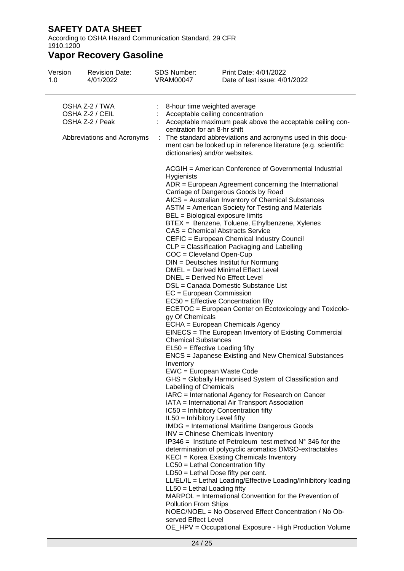According to OSHA Hazard Communication Standard, 29 CFR 1910.1200

| Version<br>1.0                                                                     | <b>Revision Date:</b><br>4/01/2022 | <b>SDS Number:</b><br><b>VRAM00047</b>                                                                                                                                                                                                                                                                                                                                                                                                                                                                         | Print Date: 4/01/2022<br>Date of last issue: 4/01/2022                                                                                                                                                                                                                                                                                                                                                                                                                                                                                                                                                                                                                                                                                                                                                                                                                                                                                                                                                                                                                                                                                                                                                                                                                                                                                                                                                                                                                                                                                                                       |  |  |  |
|------------------------------------------------------------------------------------|------------------------------------|----------------------------------------------------------------------------------------------------------------------------------------------------------------------------------------------------------------------------------------------------------------------------------------------------------------------------------------------------------------------------------------------------------------------------------------------------------------------------------------------------------------|------------------------------------------------------------------------------------------------------------------------------------------------------------------------------------------------------------------------------------------------------------------------------------------------------------------------------------------------------------------------------------------------------------------------------------------------------------------------------------------------------------------------------------------------------------------------------------------------------------------------------------------------------------------------------------------------------------------------------------------------------------------------------------------------------------------------------------------------------------------------------------------------------------------------------------------------------------------------------------------------------------------------------------------------------------------------------------------------------------------------------------------------------------------------------------------------------------------------------------------------------------------------------------------------------------------------------------------------------------------------------------------------------------------------------------------------------------------------------------------------------------------------------------------------------------------------------|--|--|--|
| OSHA Z-2 / TWA<br>OSHA Z-2 / CEIL<br>OSHA Z-2 / Peak<br>Abbreviations and Acronyms |                                    | 8-hour time weighted average<br>Acceptable ceiling concentration<br>Acceptable maximum peak above the acceptable ceiling con-<br>centration for an 8-hr shift<br>The standard abbreviations and acronyms used in this docu-<br>ment can be looked up in reference literature (e.g. scientific<br>dictionaries) and/or websites.                                                                                                                                                                                |                                                                                                                                                                                                                                                                                                                                                                                                                                                                                                                                                                                                                                                                                                                                                                                                                                                                                                                                                                                                                                                                                                                                                                                                                                                                                                                                                                                                                                                                                                                                                                              |  |  |  |
|                                                                                    |                                    | <b>Hygienists</b><br>BEL = Biological exposure limits<br>$COC = C$ leveland Open-Cup<br>DNEL = Derived No Effect Level<br>EC = European Commission<br>gy Of Chemicals<br><b>Chemical Substances</b><br>EL50 = Effective Loading fifty<br>Inventory<br>EWC = European Waste Code<br>Labelling of Chemicals<br>IL50 = Inhibitory Level fifty<br>LC50 = Lethal Concentration fifty<br>$LD50 = Lethal Does fifty per cent.$<br>$LL50 = Lethal$ Loading fifty<br><b>Pollution From Ships</b><br>served Effect Level | ACGIH = American Conference of Governmental Industrial<br>ADR = European Agreement concerning the International<br>Carriage of Dangerous Goods by Road<br>AICS = Australian Inventory of Chemical Substances<br>ASTM = American Society for Testing and Materials<br>BTEX = Benzene, Toluene, Ethylbenzene, Xylenes<br>CAS = Chemical Abstracts Service<br>CEFIC = European Chemical Industry Council<br>CLP = Classification Packaging and Labelling<br>DIN = Deutsches Institut fur Normung<br>DMEL = Derived Minimal Effect Level<br>DSL = Canada Domestic Substance List<br>EC50 = Effective Concentration fifty<br>ECETOC = European Center on Ecotoxicology and Toxicolo-<br>ECHA = European Chemicals Agency<br>EINECS = The European Inventory of Existing Commercial<br>ENCS = Japanese Existing and New Chemical Substances<br>GHS = Globally Harmonised System of Classification and<br>IARC = International Agency for Research on Cancer<br>IATA = International Air Transport Association<br>IC50 = Inhibitory Concentration fifty<br><b>IMDG</b> = International Maritime Dangerous Goods<br>INV = Chinese Chemicals Inventory<br>IP346 = Institute of Petroleum test method $N^{\circ}$ 346 for the<br>determination of polycyclic aromatics DMSO-extractables<br>KECI = Korea Existing Chemicals Inventory<br>LL/EL/IL = Lethal Loading/Effective Loading/Inhibitory loading<br>MARPOL = International Convention for the Prevention of<br>NOEC/NOEL = No Observed Effect Concentration / No Ob-<br>OE_HPV = Occupational Exposure - High Production Volume |  |  |  |